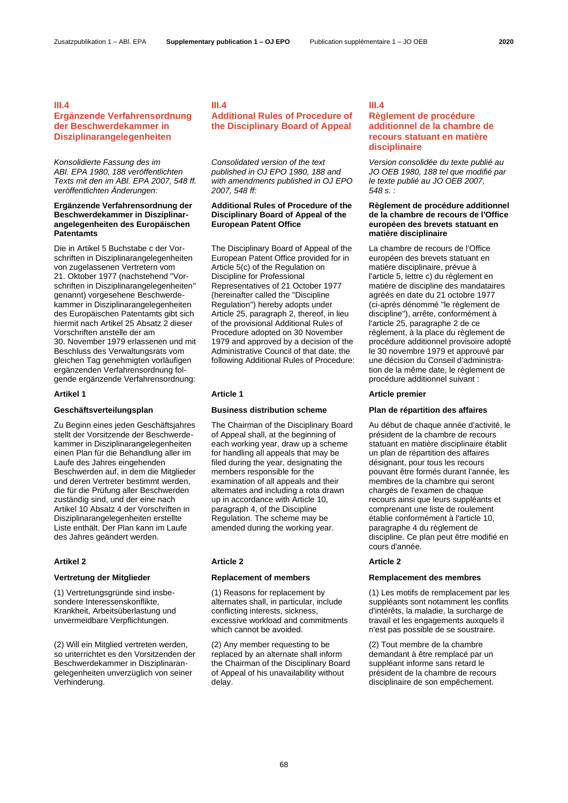### **III.4**

### **Ergänzende Verfahrensordnung der Beschwerdekammer in Disziplinarangelegenheiten**

### *Konsolidierte Fassung des im ABl. EPA 1980, 188 veröffentlichten Texts mit den im ABl. EPA 2007, 548 ff. veröffentlichten Änderungen:*

### **Ergänzende Verfahrensordnung der Beschwerdekammer in Disziplinarangelegenheiten des Europäischen Patentamts**

Die in Artikel 5 Buchstabe c der Vorschriften in Disziplinarangelegenheiten von zugelassenen Vertretern vom 21. Oktober 1977 (nachstehend "Vorschriften in Disziplinarangelegenheiten" genannt) vorgesehene Beschwerdekammer in Disziplinarangelegenheiten des Europäischen Patentamts gibt sich hiermit nach Artikel 25 Absatz 2 dieser Vorschriften anstelle der am 30. November 1979 erlassenen und mit Beschluss des Verwaltungsrats vom gleichen Tag genehmigten vorläufigen ergänzenden Verfahrensordnung folgende ergänzende Verfahrensordnung:

Zu Beginn eines jeden Geschäftsjahres stellt der Vorsitzende der Beschwerdekammer in Disziplinarangelegenheiten einen Plan für die Behandlung aller im Laufe des Jahres eingehenden Beschwerden auf, in dem die Mitglieder und deren Vertreter bestimmt werden, die für die Prüfung aller Beschwerden zuständig sind, und der eine nach Artikel 10 Absatz 4 der Vorschriften in Disziplinarangelegenheiten erstellte Liste enthält. Der Plan kann im Laufe des Jahres geändert werden.

(1) Vertretungsgründe sind insbesondere Interessenskonflikte, Krankheit, Arbeitsüberlastung und unvermeidbare Verpflichtungen.

(2) Will ein Mitglied vertreten werden, so unterrichtet es den Vorsitzenden der Beschwerdekammer in Disziplinarangelegenheiten unverzüglich von seiner Verhinderung.

## **III.4**

### **Additional Rules of Procedure of the Disciplinary Board of Appeal**

*Consolidated version of the text published in OJ EPO 1980, 188 and with amendments published in OJ EPO 2007, 548 ff:*

### **Additional Rules of Procedure of the Disciplinary Board of Appeal of the European Patent Office**

The Disciplinary Board of Appeal of the European Patent Office provided for in Article 5(c) of the Regulation on Discipline for Professional Representatives of 21 October 1977 (hereinafter called the "Discipline Regulation") hereby adopts under Article 25, paragraph 2, thereof, in lieu of the provisional Additional Rules of Procedure adopted on 30 November 1979 and approved by a decision of the Administrative Council of that date, the following Additional Rules of Procedure:

### **Geschäftsverteilungsplan Business distribution scheme Plan de répartition des affaires**

The Chairman of the Disciplinary Board of Appeal shall, at the beginning of each working year, draw up a scheme for handling all appeals that may be filed during the year, designating the members responsible for the examination of all appeals and their alternates and including a rota drawn up in accordance with Article 10, paragraph 4, of the Discipline Regulation. The scheme may be amended during the working year.

### **Artikel 2 Article 2 Article 2**

(1) Reasons for replacement by alternates shall, in particular, include conflicting interests, sickness, excessive workload and commitments which cannot be avoided.

(2) Any member requesting to be replaced by an alternate shall inform the Chairman of the Disciplinary Board of Appeal of his unavailability without delay.

### **III.4**

### **Règlement de procédure additionnel de la chambre de recours statuant en matière disciplinaire**

*Version consolidée du texte publié au JO OEB 1980, 188 tel que modifié par le texte publié au JO OEB 2007, 548 s. :*

### **Règlement de procédure additionnel de la chambre de recours de l'Office européen des brevets statuant en matière disciplinaire**

La chambre de recours de l'Office européen des brevets statuant en matière disciplinaire, prévue à l'article 5, lettre c) du règlement en matière de discipline des mandataires agréés en date du 21 octobre 1977 (ci-après dénommé "le règlement de discipline"), arrête, conformément à l'article 25, paragraphe 2 de ce règlement, à la place du règlement de procédure additionnel provisoire adopté le 30 novembre 1979 et approuvé par une décision du Conseil d'administration de la même date, le règlement de procédure additionnel suivant :

### **Artikel 1 Article 1 Article premier**

Au début de chaque année d'activité, le président de la chambre de recours statuant en matière disciplinaire établit un plan de répartition des affaires désignant, pour tous les recours pouvant être formés durant l'année, les membres de la chambre qui seront chargés de l'examen de chaque recours ainsi que leurs suppléants et comprenant une liste de roulement établie conformément à l'article 10, paragraphe 4 du règlement de discipline. Ce plan peut être modifié en cours d'année.

### **Vertretung der Mitglieder Replacement of members Remplacement des membres**

(1) Les motifs de remplacement par les suppléants sont notamment les conflits d'intérêts, la maladie, la surcharge de travail et les engagements auxquels il n'est pas possible de se soustraire.

(2) Tout membre de la chambre demandant à être remplacé par un suppléant informe sans retard le président de la chambre de recours disciplinaire de son empêchement.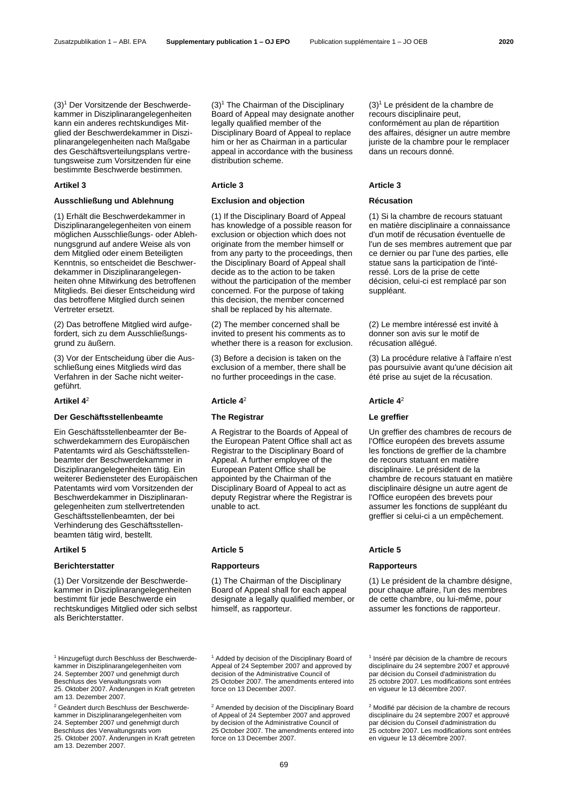<span id="page-1-0"></span>(3)<sup>1</sup> Der Vorsitzende der Beschwerdekammer in Disziplinarangelegenheiten kann ein anderes rechtskundiges Mitglied der Beschwerdekammer in Disziplinarangelegenheiten nach Maßgabe des Geschäftsverteilungsplans vertretungsweise zum Vorsitzenden für eine bestimmte Beschwerde bestimmen.

### **Ausschließung und Ablehnung Exclusion and objection Récusation**

(1) Erhält die Beschwerdekammer in Disziplinarangelegenheiten von einem möglichen Ausschließungs- oder Ablehnungsgrund auf andere Weise als von dem Mitglied oder einem Beteiligten Kenntnis, so entscheidet die Beschwerdekammer in Disziplinarangelegenheiten ohne Mitwirkung des betroffenen Mitglieds. Bei dieser Entscheidung wird das betroffene Mitglied durch seinen Vertreter ersetzt.

(2) Das betroffene Mitglied wird aufgefordert, sich zu dem Ausschließungsgrund zu äußern.

(3) Vor der Entscheidung über die Ausschließung eines Mitglieds wird das Verfahren in der Sache nicht weitergeführt.

### <span id="page-1-1"></span>**Artikel 4**

### **Der Geschäftsstellenbeamte The Registrar Le greffier**

Ein Geschäftsstellenbeamter der Beschwerdekammern des Europäischen Patentamts wird als Geschäftsstellenbeamter der Beschwerdekammer in Disziplinarangelegenheiten tätig. Ein weiterer Bediensteter des Europäischen Patentamts wird vom Vorsitzenden der Beschwerdekammer in Disziplinarangelegenheiten zum stellvertretenden Geschäftsstellenbeamten, der bei Verhinderung des Geschäftsstellenbeamten tätig wird, bestellt.

### **Berichterstatter Rapporteurs Rapporteurs**

(1) Der Vorsitzende der Beschwerdekammer in Disziplinarangelegenheiten bestimmt für jede Beschwerde ein rechtskundiges Mitglied oder sich selbst als Berichterstatter.

 $(3)<sup>1</sup>$  $(3)<sup>1</sup>$  $(3)<sup>1</sup>$  The Chairman of the Disciplinary Board of Appeal may designate another legally qualified member of the Disciplinary Board of Appeal to replace him or her as Chairman in a particular appeal in accordance with the business distribution scheme.

(1) If the Disciplinary Board of Appeal has knowledge of a possible reason for exclusion or objection which does not originate from the member himself or from any party to the proceedings, then the Disciplinary Board of Appeal shall decide as to the action to be taken without the participation of the member concerned. For the purpose of taking this decision, the member concerned shall be replaced by his alternate.

(2) The member concerned shall be invited to present his comments as to whether there is a reason for exclusion.

(3) Before a decision is taken on the exclusion of a member, there shall be no further proceedings in the case.

### <sup>2</sup> **Article [4](#page-1-1)**

A Registrar to the Boards of Appeal of the European Patent Office shall act as Registrar to the Disciplinary Board of Appeal. A further employee of the European Patent Office shall be appointed by the Chairman of the Disciplinary Board of Appeal to act as deputy Registrar where the Registrar is unable to act.

(1) The Chairman of the Disciplinary Board of Appeal shall for each appeal designate a legally qualified member, or himself, as rapporteur.

<sup>1</sup> Added by decision of the Disciplinary Board of Appeal of 24 September 2007 and approved by decision of the Administrative Council of 25 October 2007. The amendments entered into force on 13 December 2007.

<sup>2</sup> Amended by decision of the Disciplinary Board of Appeal of 24 September 2007 and approved by decision of the Administrative Council of 25 October 2007. The amendments entered into force on 13 December 2007.

 $(3)<sup>1</sup>$  $(3)<sup>1</sup>$  $(3)<sup>1</sup>$  Le président de la chambre de recours disciplinaire peut, conformément au plan de répartition des affaires, désigner un autre membre juriste de la chambre pour le remplacer dans un recours donné.

### **Artikel 3 Article 3 Article 3**

(1) Si la chambre de recours statuant en matière disciplinaire a connaissance d'un motif de récusation éventuelle de l'un de ses membres autrement que par ce dernier ou par l'une des parties, elle statue sans la participation de l'intéressé. Lors de la prise de cette décision, celui-ci est remplacé par son suppléant.

(2) Le membre intéressé est invité à donner son avis sur le motif de récusation allégué.

(3) La procédure relative à l'affaire n'est pas poursuivie avant qu'une décision ait été prise au sujet de la récusation.

### <sup>2</sup> **Article [4](#page-1-1)** 2

Un greffier des chambres de recours de l'Office européen des brevets assume les fonctions de greffier de la chambre de recours statuant en matière disciplinaire. Le président de la chambre de recours statuant en matière disciplinaire désigne un autre agent de l'Office européen des brevets pour assumer les fonctions de suppléant du greffier si celui-ci a un empêchement.

### **Artikel 5 Article 5 Article 5**

(1) Le président de la chambre désigne, pour chaque affaire, l'un des membres de cette chambre, ou lui-même, pour assumer les fonctions de rapporteur.

1 Inséré par décision de la chambre de recours disciplinaire du 24 septembre 2007 et approuvé par décision du Conseil d'administration du 25 octobre 2007. Les modifications sont entrées en vigueur le 13 décembre 2007.

<sup>2</sup> Modifié par décision de la chambre de recours disciplinaire du 24 septembre 2007 et approuvé par décision du Conseil d'administration du 25 octobre 2007. Les modifications sont entrées en vigueur le 13 décembre 2007.

<sup>1</sup> Hinzugefügt durch Beschluss der Beschwerdekammer in Disziplinarangelegenheiten vom 24. September 2007 und genehmigt durch Beschluss des Verwaltungsrats vom 25. Oktober 2007. Änderungen in Kraft getreten am 13. Dezember 2007.

<sup>2</sup> Geändert durch Beschluss der Beschwerdekammer in Disziplinarangelegenheiten vom 24. September 2007 und genehmigt durch Beschluss des Verwaltungsrats vom 25. Oktober 2007. Änderungen in Kraft getreten am 13. Dezember 2007.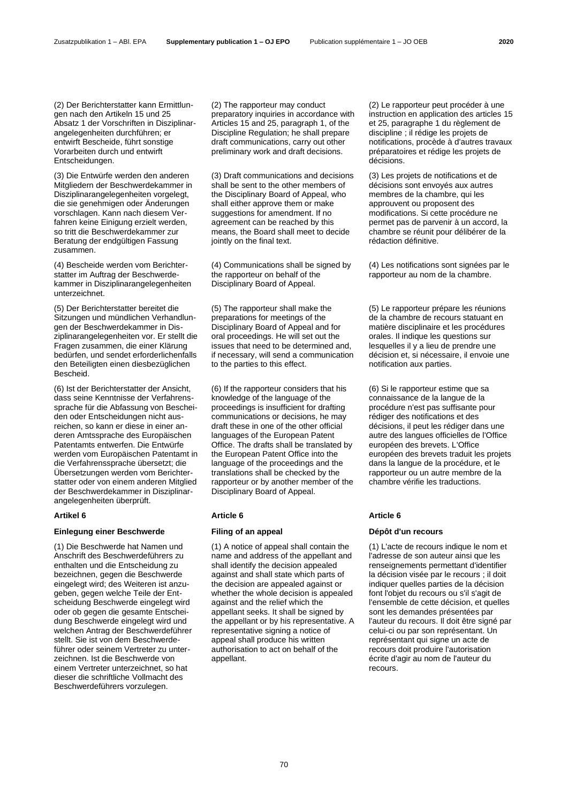(2) Der Berichterstatter kann Ermittlungen nach den Artikeln 15 und 25 Absatz 1 der Vorschriften in Disziplinarangelegenheiten durchführen; er entwirft Bescheide, führt sonstige Vorarbeiten durch und entwirft Entscheidungen.

(3) Die Entwürfe werden den anderen Mitgliedern der Beschwerdekammer in Disziplinarangelegenheiten vorgelegt, die sie genehmigen oder Änderungen vorschlagen. Kann nach diesem Verfahren keine Einigung erzielt werden, so tritt die Beschwerdekammer zur Beratung der endgültigen Fassung zusammen.

(4) Bescheide werden vom Berichterstatter im Auftrag der Beschwerdekammer in Disziplinarangelegenheiten unterzeichnet.

(5) Der Berichterstatter bereitet die Sitzungen und mündlichen Verhandlungen der Beschwerdekammer in Disziplinarangelegenheiten vor. Er stellt die Fragen zusammen, die einer Klärung bedürfen, und sendet erforderlichenfalls den Beteiligten einen diesbezüglichen Bescheid.

(6) Ist der Berichterstatter der Ansicht, dass seine Kenntnisse der Verfahrenssprache für die Abfassung von Bescheiden oder Entscheidungen nicht ausreichen, so kann er diese in einer anderen Amtssprache des Europäischen Patentamts entwerfen. Die Entwürfe werden vom Europäischen Patentamt in die Verfahrenssprache übersetzt; die Übersetzungen werden vom Berichterstatter oder von einem anderen Mitglied der Beschwerdekammer in Disziplinarangelegenheiten überprüft.

### **Einlegung einer Beschwerde Filing of an appeal Dépôt d'un recours**

(1) Die Beschwerde hat Namen und Anschrift des Beschwerdeführers zu enthalten und die Entscheidung zu bezeichnen, gegen die Beschwerde eingelegt wird; des Weiteren ist anzugeben, gegen welche Teile der Entscheidung Beschwerde eingelegt wird oder ob gegen die gesamte Entscheidung Beschwerde eingelegt wird und welchen Antrag der Beschwerdeführer stellt. Sie ist von dem Beschwerdeführer oder seinem Vertreter zu unterzeichnen. Ist die Beschwerde von einem Vertreter unterzeichnet, so hat dieser die schriftliche Vollmacht des Beschwerdeführers vorzulegen.

(2) The rapporteur may conduct preparatory inquiries in accordance with Articles 15 and 25, paragraph 1, of the Discipline Regulation; he shall prepare draft communications, carry out other preliminary work and draft decisions.

(3) Draft communications and decisions shall be sent to the other members of the Disciplinary Board of Appeal, who shall either approve them or make suggestions for amendment. If no agreement can be reached by this means, the Board shall meet to decide jointly on the final text.

(4) Communications shall be signed by the rapporteur on behalf of the Disciplinary Board of Appeal.

(5) The rapporteur shall make the preparations for meetings of the Disciplinary Board of Appeal and for oral proceedings. He will set out the issues that need to be determined and, if necessary, will send a communication to the parties to this effect.

(6) If the rapporteur considers that his knowledge of the language of the proceedings is insufficient for drafting communications or decisions, he may draft these in one of the other official languages of the European Patent Office. The drafts shall be translated by the European Patent Office into the language of the proceedings and the translations shall be checked by the rapporteur or by another member of the Disciplinary Board of Appeal.

### **Artikel 6 Article 6 Article 6**

(1) A notice of appeal shall contain the name and address of the appellant and shall identify the decision appealed against and shall state which parts of the decision are appealed against or whether the whole decision is appealed against and the relief which the appellant seeks. It shall be signed by the appellant or by his representative. A representative signing a notice of appeal shall produce his written authorisation to act on behalf of the appellant.

(2) Le rapporteur peut procéder à une instruction en application des articles 15 et 25, paragraphe 1 du règlement de discipline ; il rédige les projets de notifications, procède à d'autres travaux préparatoires et rédige les projets de décisions.

(3) Les projets de notifications et de décisions sont envoyés aux autres membres de la chambre, qui les approuvent ou proposent des modifications. Si cette procédure ne permet pas de parvenir à un accord, la chambre se réunit pour délibérer de la rédaction définitive.

(4) Les notifications sont signées par le rapporteur au nom de la chambre.

(5) Le rapporteur prépare les réunions de la chambre de recours statuant en matière disciplinaire et les procédures orales. Il indique les questions sur lesquelles il y a lieu de prendre une décision et, si nécessaire, il envoie une notification aux parties.

(6) Si le rapporteur estime que sa connaissance de la langue de la procédure n'est pas suffisante pour rédiger des notifications et des décisions, il peut les rédiger dans une autre des langues officielles de l'Office européen des brevets. L'Office européen des brevets traduit les projets dans la langue de la procédure, et le rapporteur ou un autre membre de la chambre vérifie les traductions.

(1) L'acte de recours indique le nom et l'adresse de son auteur ainsi que les renseignements permettant d'identifier la décision visée par le recours ; il doit indiquer quelles parties de la décision font l'objet du recours ou s'il s'agit de l'ensemble de cette décision, et quelles sont les demandes présentées par l'auteur du recours. Il doit être signé par celui-ci ou par son représentant. Un représentant qui signe un acte de recours doit produire l'autorisation écrite d'agir au nom de l'auteur du recours.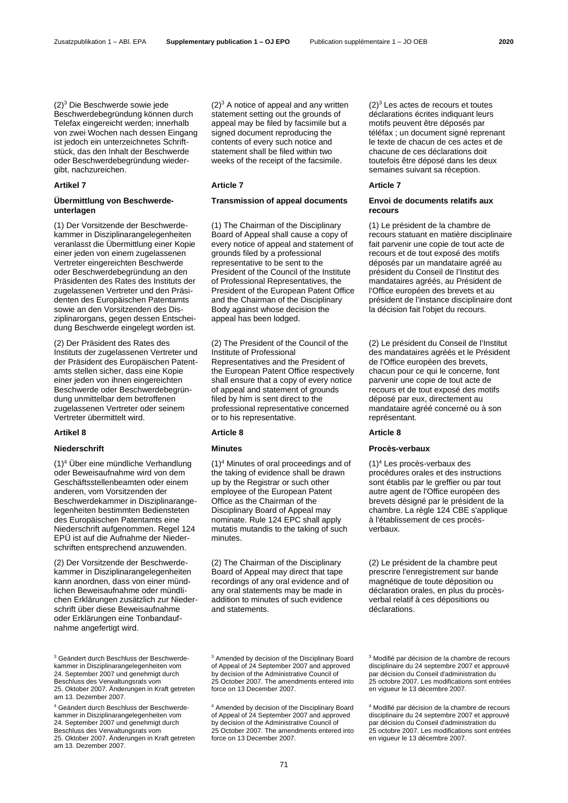<span id="page-3-0"></span>(2)<sup>3</sup> Die Beschwerde sowie jede Beschwerdebegründung können durch Telefax eingereicht werden; innerhalb von zwei Wochen nach dessen Eingang ist jedoch ein unterzeichnetes Schriftstück, das den Inhalt der Beschwerde oder Beschwerdebegründung wiedergibt, nachzureichen.

### **Übermittlung von Beschwerdeunterlagen**

(1) Der Vorsitzende der Beschwerdekammer in Disziplinarangelegenheiten veranlasst die Übermittlung einer Kopie einer jeden von einem zugelassenen Vertreter eingereichten Beschwerde oder Beschwerdebegründung an den Präsidenten des Rates des Instituts der zugelassenen Vertreter und den Präsidenten des Europäischen Patentamts sowie an den Vorsitzenden des Disziplinarorgans, gegen dessen Entscheidung Beschwerde eingelegt worden ist.

(2) Der Präsident des Rates des Instituts der zugelassenen Vertreter und der Präsident des Europäischen Patentamts stellen sicher, dass eine Kopie einer jeden von ihnen eingereichten Beschwerde oder Beschwerdebegründung unmittelbar dem betroffenen zugelassenen Vertreter oder seinem Vertreter übermittelt wird.

<span id="page-3-1"></span>(1)<sup>4</sup> Über eine mündliche Verhandlung oder Beweisaufnahme wird von dem Geschäftsstellenbeamten oder einem anderen, vom Vorsitzenden der Beschwerdekammer in Disziplinarangelegenheiten bestimmten Bediensteten des Europäischen Patentamts eine Niederschrift aufgenommen. Regel 124 EPÜ ist auf die Aufnahme der Niederschriften entsprechend anzuwenden.

(2) Der Vorsitzende der Beschwerdekammer in Disziplinarangelegenheiten kann anordnen, dass von einer mündlichen Beweisaufnahme oder mündlichen Erklärungen zusätzlich zur Niederschrift über diese Beweisaufnahme oder Erklärungen eine Tonbandaufnahme angefertigt wird.

<sup>3</sup> Geändert durch Beschluss der Beschwerdekammer in Disziplinarangelegenheiten vom 24. September 2007 und genehmigt durch Beschluss des Verwaltungsrats vom 25. Oktober 2007. Änderungen in Kraft getreten am 13. Dezember 2007.

<sup>4</sup> Geändert durch Beschluss der Beschwerdekammer in Disziplinarangelegenheiten vom 24. September 2007 und genehmigt durch Beschluss des Verwaltungsrats vom 25. Oktober 2007. Änderungen in Kraft getreten am 13. Dezember 2007.

 $(2)<sup>3</sup>$  $(2)<sup>3</sup>$  $(2)<sup>3</sup>$  A notice of appeal and any written statement setting out the grounds of appeal may be filed by facsimile but a signed document reproducing the contents of every such notice and statement shall be filed within two weeks of the receipt of the facsimile.

### **Transmission of appeal documents Envoi de documents relatifs aux**

(1) The Chairman of the Disciplinary Board of Appeal shall cause a copy of every notice of appeal and statement of grounds filed by a professional representative to be sent to the President of the Council of the Institute of Professional Representatives, the President of the European Patent Office and the Chairman of the Disciplinary Body against whose decision the appeal has been lodged.

(2) The President of the Council of the Institute of Professional Representatives and the President of the European Patent Office respectively shall ensure that a copy of every notice of appeal and statement of grounds filed by him is sent direct to the professional representative concerned or to his representative.

### **Artikel 8 Article 8 Article 8**

(1[\)](#page-3-1)<sup>4</sup> Minutes of oral proceedings and of the taking of evidence shall be drawn up by the Registrar or such other employee of the European Patent Office as the Chairman of the Disciplinary Board of Appeal may nominate. Rule 124 EPC shall apply mutatis mutandis to the taking of such minutes.

(2) The Chairman of the Disciplinary Board of Appeal may direct that tape recordings of any oral evidence and of any oral statements may be made in addition to minutes of such evidence and statements.

<sup>3</sup> Amended by decision of the Disciplinary Board of Appeal of 24 September 2007 and approved by decision of the Administrative Council of 25 October 2007. The amendments entered into force on 13 December 2007.

<sup>4</sup> Amended by decision of the Disciplinary Board of Appeal of 24 September 2007 and approved by decision of the Administrative Council of 25 October 2007. The amendments entered into force on 13 December 2007.

 $(2)^3$  $(2)^3$  $(2)^3$  Les actes de recours et toutes déclarations écrites indiquant leurs motifs peuvent être déposés par téléfax ; un document signé reprenant le texte de chacun de ces actes et de chacune de ces déclarations doit toutefois être déposé dans les deux semaines suivant sa réception.

### **Artikel 7 Article 7 Article 7**

# **recours**

(1) Le président de la chambre de recours statuant en matière disciplinaire fait parvenir une copie de tout acte de recours et de tout exposé des motifs déposés par un mandataire agréé au président du Conseil de l'Institut des mandataires agréés, au Président de l'Office européen des brevets et au président de l'instance disciplinaire dont la décision fait l'objet du recours.

(2) Le président du Conseil de l'Institut des mandataires agréés et le Président de l'Office européen des brevets, chacun pour ce qui le concerne, font parvenir une copie de tout acte de recours et de tout exposé des motifs déposé par eux, directement au mandataire agréé concerné ou à son représentant.

### **Niederschrift Minutes Procès-verbaux**

(1[\)](#page-3-1)<sup>4</sup> Les procès-verbaux des procédures orales et des instructions sont établis par le greffier ou par tout autre agent de l'Office européen des brevets désigné par le président de la chambre. La règle 124 CBE s'applique à l'établissement de ces procèsverbaux.

(2) Le président de la chambre peut prescrire l'enregistrement sur bande magnétique de toute déposition ou déclaration orales, en plus du procèsverbal relatif à ces dépositions ou déclarations.

<sup>3</sup> Modifié par décision de la chambre de recours disciplinaire du 24 septembre 2007 et approuvé par décision du Conseil d'administration du 25 octobre 2007. Les modifications sont entrées en vigueur le 13 décembre 2007.

<sup>4</sup> Modifié par décision de la chambre de recours disciplinaire du 24 septembre 2007 et approuvé par décision du Conseil d'administration du 25 octobre 2007. Les modifications sont entrées en vigueur le 13 décembre 2007.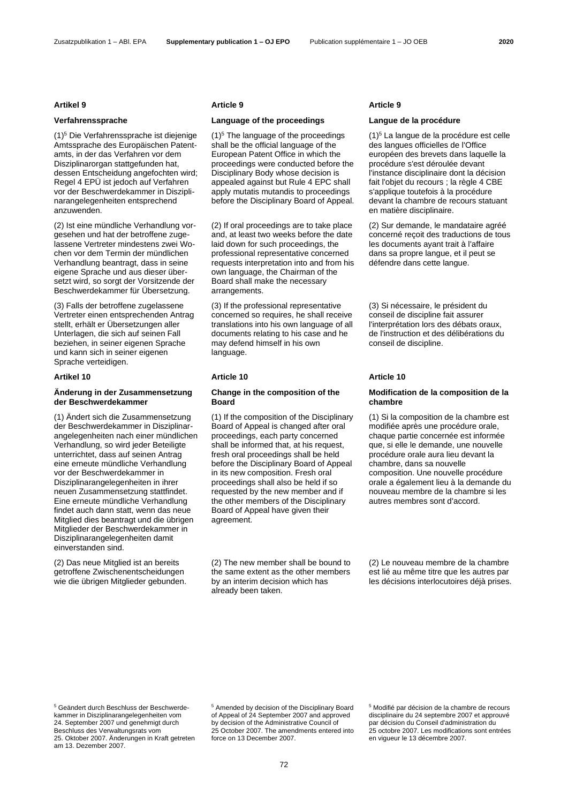<span id="page-4-0"></span>(1)<sup>5</sup> Die Verfahrenssprache ist diejenige Amtssprache des Europäischen Patentamts, in der das Verfahren vor dem Disziplinarorgan stattgefunden hat, dessen Entscheidung angefochten wird; Regel 4 EPÜ ist jedoch auf Verfahren vor der Beschwerdekammer in Disziplinarangelegenheiten entsprechend anzuwenden.

(2) Ist eine mündliche Verhandlung vorgesehen und hat der betroffene zugelassene Vertreter mindestens zwei Wochen vor dem Termin der mündlichen Verhandlung beantragt, dass in seine eigene Sprache und aus dieser übersetzt wird, so sorgt der Vorsitzende der Beschwerdekammer für Übersetzung.

(3) Falls der betroffene zugelassene Vertreter einen entsprechenden Antrag stellt, erhält er Übersetzungen aller Unterlagen, die sich auf seinen Fall beziehen, in seiner eigenen Sprache und kann sich in seiner eigenen Sprache verteidigen.

### **Artikel 10 Article 10 Article 10**

### **Änderung in der Zusammensetzung der Beschwerdekammer**

(1) Ändert sich die Zusammensetzung der Beschwerdekammer in Disziplinarangelegenheiten nach einer mündlichen Verhandlung, so wird jeder Beteiligte unterrichtet, dass auf seinen Antrag eine erneute mündliche Verhandlung vor der Beschwerdekammer in Disziplinarangelegenheiten in ihrer neuen Zusammensetzung stattfindet. Eine erneute mündliche Verhandlung findet auch dann statt, wenn das neue Mitglied dies beantragt und die übrigen Mitglieder der Beschwerdekammer in Disziplinarangelegenheiten damit einverstanden sind.

(2) Das neue Mitglied ist an bereits getroffene Zwischenentscheidungen wie die übrigen Mitglieder gebunden.

### **Artikel 9 Article 9 Article 9**

### **Verfahrenssprache Language of the proceedings Langue de la procédure**

 $(1)<sup>5</sup>$  $(1)<sup>5</sup>$  $(1)<sup>5</sup>$  The language of the proceedings shall be the official language of the European Patent Office in which the proceedings were conducted before the Disciplinary Body whose decision is appealed against but Rule 4 EPC shall apply mutatis mutandis to proceedings before the Disciplinary Board of Appeal.

(2) If oral proceedings are to take place and, at least two weeks before the date laid down for such proceedings, the professional representative concerned requests interpretation into and from his own language, the Chairman of the Board shall make the necessary arrangements.

(3) If the professional representative concerned so requires, he shall receive translations into his own language of all documents relating to his case and he may defend himself in his own language.

### **Change in the composition of the Board**

(1) If the composition of the Disciplinary Board of Appeal is changed after oral proceedings, each party concerned shall be informed that, at his request, fresh oral proceedings shall be held before the Disciplinary Board of Appeal in its new composition. Fresh oral proceedings shall also be held if so requested by the new member and if the other members of the Disciplinary Board of Appeal have given their agreement.

(2) The new member shall be bound to the same extent as the other members by an interim decision which has already been taken.

(1[\)](#page-4-0)<sup>5</sup> La langue de la procédure est celle des langues officielles de l'Office européen des brevets dans laquelle la procédure s'est déroulée devant l'instance disciplinaire dont la décision fait l'objet du recours ; la règle 4 CBE s'applique toutefois à la procédure devant la chambre de recours statuant en matière disciplinaire.

(2) Sur demande, le mandataire agréé concerné reçoit des traductions de tous les documents ayant trait à l'affaire dans sa propre langue, et il peut se défendre dans cette langue.

(3) Si nécessaire, le président du conseil de discipline fait assurer l'interprétation lors des débats oraux, de l'instruction et des délibérations du conseil de discipline.

### **Modification de la composition de la chambre**

(1) Si la composition de la chambre est modifiée après une procédure orale, chaque partie concernée est informée que, si elle le demande, une nouvelle procédure orale aura lieu devant la chambre, dans sa nouvelle composition. Une nouvelle procédure orale a également lieu à la demande du nouveau membre de la chambre si les autres membres sont d'accord.

(2) Le nouveau membre de la chambre est lié au même titre que les autres par les décisions interlocutoires déjà prises.

<sup>5</sup> Geändert durch Beschluss der Beschwerdekammer in Disziplinarangelegenheiten vom 24. September 2007 und genehmigt durch Beschluss des Verwaltungsrats vom 25. Oktober 2007. Änderungen in Kraft getreten am 13. Dezember 2007.

<sup>5</sup> Amended by decision of the Disciplinary Board of Appeal of 24 September 2007 and approved by decision of the Administrative Council of 25 October 2007. The amendments entered into force on 13 December 2007.

<sup>5</sup> Modifié par décision de la chambre de recours disciplinaire du 24 septembre 2007 et approuvé par décision du Conseil d'administration du 25 octobre 2007. Les modifications sont entrées en vigueur le 13 décembre 2007.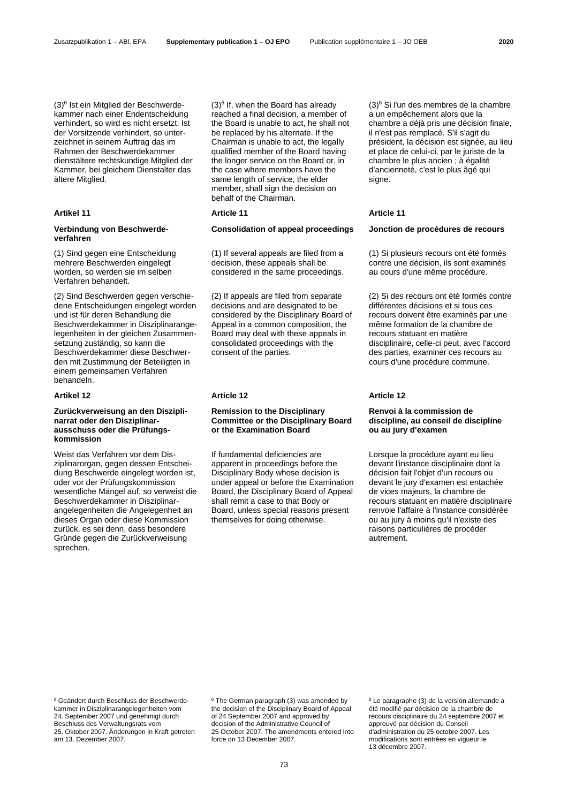<span id="page-5-0"></span>(3)<sup>6</sup> Ist ein Mitglied der Beschwerdekammer nach einer Endentscheidung verhindert, so wird es nicht ersetzt. Ist der Vorsitzende verhindert, so unterzeichnet in seinem Auftrag das im Rahmen der Beschwerdekammer dienstältere rechtskundige Mitglied der Kammer, bei gleichem Dienstalter das ältere Mitglied.

### **Verbindung von Beschwerdeverfahren**

(1) Sind gegen eine Entscheidung mehrere Beschwerden eingelegt worden, so werden sie im selben Verfahren behandelt.

(2) Sind Beschwerden gegen verschiedene Entscheidungen eingelegt worden und ist für deren Behandlung die Beschwerdekammer in Disziplinarangelegenheiten in der gleichen Zusammensetzung zuständig, so kann die Beschwerdekammer diese Beschwerden mit Zustimmung der Beteiligten in einem gemeinsamen Verfahren behandeln.

### **Zurückverweisung an den Disziplinarrat oder den Disziplinarausschuss oder die Prüfungskommission**

Weist das Verfahren vor dem Disziplinarorgan, gegen dessen Entscheidung Beschwerde eingelegt worden ist, oder vor der Prüfungskommission wesentliche Mängel auf, so verweist die Beschwerdekammer in Disziplinarangelegenheiten die Angelegenheit an dieses Organ oder diese Kommission zurück, es sei denn, dass besondere Gründe gegen die Zurückverweisung sprechen.

 $(3)$  $(3)$ <sup>6</sup> If, when the Board has already reached a final decision, a member of the Board is unable to act, he shall not be replaced by his alternate. If the Chairman is unable to act, the legally qualified member of the Board having the longer service on the Board or, in the case where members have the same length of service, the elder member, shall sign the decision on behalf of the Chairman.

### **Artikel 11 Article 11 Article 11**

### **Consolidation of appeal proceedings Jonction de procédures de recours**

(1) If several appeals are filed from a decision, these appeals shall be considered in the same proceedings.

(2) If appeals are filed from separate decisions and are designated to be considered by the Disciplinary Board of Appeal in a common composition, the Board may deal with these appeals in consolidated proceedings with the consent of the parties.

### **Artikel 12 Article 12 Article 12**

### **Remission to the Disciplinary Committee or the Disciplinary Board or the Examination Board**

If fundamental deficiencies are apparent in proceedings before the Disciplinary Body whose decision is under appeal or before the Examination Board, the Disciplinary Board of Appeal shall remit a case to that Body or Board, unless special reasons present themselves for doing otherwise.

(3[\)](#page-5-0)<sup>6</sup> Si l'un des membres de la chambre a un empêchement alors que la chambre a déjà pris une décision finale, il n'est pas remplacé. S'il s'agit du président, la décision est signée, au lieu et place de celui-ci, par le juriste de la chambre le plus ancien ; à égalité d'ancienneté, c'est le plus âgé qui signe.

(1) Si plusieurs recours ont été formés contre une décision, ils sont examinés au cours d'une même procédure.

(2) Si des recours ont été formés contre différentes décisions et si tous ces recours doivent être examinés par une même formation de la chambre de recours statuant en matière disciplinaire, celle-ci peut, avec l'accord des parties, examiner ces recours au cours d'une procédure commune.

### **Renvoi à la commission de discipline, au conseil de discipline ou au jury d'examen**

Lorsque la procédure ayant eu lieu devant l'instance disciplinaire dont la décision fait l'objet d'un recours ou devant le jury d'examen est entachée de vices majeurs, la chambre de recours statuant en matière disciplinaire renvoie l'affaire à l'instance considérée ou au jury à moins qu'il n'existe des raisons particulières de procéder autrement.

<sup>6</sup> Geändert durch Beschluss der Beschwerdekammer in Disziplinarangelegenheiten vom 24. September 2007 und genehmigt durch Beschluss des Verwaltungsrats vom 25. Oktober 2007. Änderungen in Kraft getreten am 13. Dezember 2007.

<sup>[6](#page-5-0)</sup> The German paragraph (3) was amended by the decision of the Disciplinary Board of Appeal of 24 September 2007 and approved by decision of the Administrative Council of 25 October 2007. The amendments entered into force on 13 December 2007.

[6](#page-5-0) Le paragraphe (3) de la version allemande a été modifié par décision de la chambre de recours disciplinaire du 24 septembre 2007 et approuvé par décision du Conseil d'administration du 25 octobre 2007. Les modifications sont entrées en vigueur le 13 décembre 2007.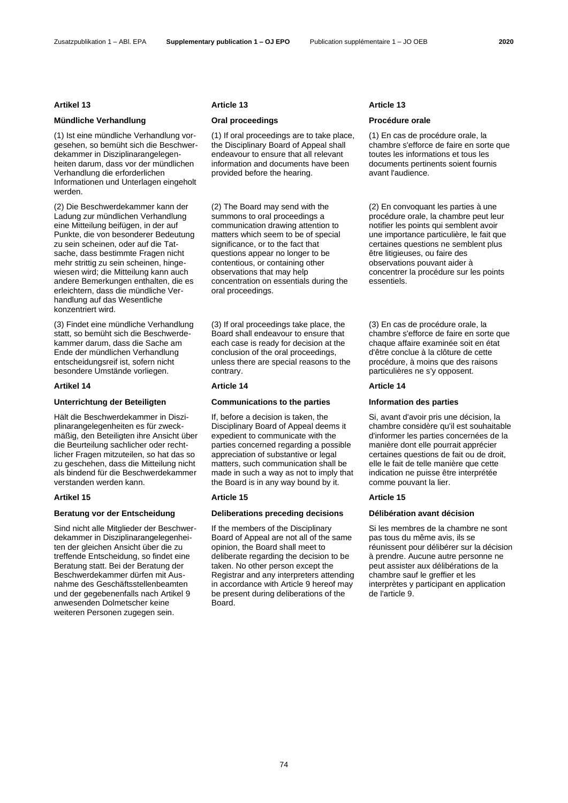### **Mündliche Verhandlung Oral proceedings Procédure orale**

(1) Ist eine mündliche Verhandlung vorgesehen, so bemüht sich die Beschwerdekammer in Disziplinarangelegenheiten darum, dass vor der mündlichen Verhandlung die erforderlichen Informationen und Unterlagen eingeholt werden.

(2) Die Beschwerdekammer kann der Ladung zur mündlichen Verhandlung eine Mitteilung beifügen, in der auf Punkte, die von besonderer Bedeutung zu sein scheinen, oder auf die Tatsache, dass bestimmte Fragen nicht mehr strittig zu sein scheinen, hingewiesen wird; die Mitteilung kann auch andere Bemerkungen enthalten, die es erleichtern, dass die mündliche Verhandlung auf das Wesentliche konzentriert wird.

(3) Findet eine mündliche Verhandlung statt, so bemüht sich die Beschwerdekammer darum, dass die Sache am Ende der mündlichen Verhandlung entscheidungsreif ist, sofern nicht besondere Umstände vorliegen.

Hält die Beschwerdekammer in Disziplinarangelegenheiten es für zweckmäßig, den Beteiligten ihre Ansicht über die Beurteilung sachlicher oder rechtlicher Fragen mitzuteilen, so hat das so zu geschehen, dass die Mitteilung nicht als bindend für die Beschwerdekammer verstanden werden kann.

### **Artikel 15 Article 15 Article 15**

Sind nicht alle Mitglieder der Beschwerdekammer in Disziplinarangelegenheiten der gleichen Ansicht über die zu treffende Entscheidung, so findet eine Beratung statt. Bei der Beratung der Beschwerdekammer dürfen mit Ausnahme des Geschäftsstellenbeamten und der gegebenenfalls nach Artikel 9 anwesenden Dolmetscher keine weiteren Personen zugegen sein.

### **Artikel 13 Article 13 Article 13**

(1) If oral proceedings are to take place, the Disciplinary Board of Appeal shall endeavour to ensure that all relevant information and documents have been provided before the hearing.

(2) The Board may send with the summons to oral proceedings a communication drawing attention to matters which seem to be of special significance, or to the fact that questions appear no longer to be contentious, or containing other observations that may help concentration on essentials during the oral proceedings.

(3) If oral proceedings take place, the Board shall endeavour to ensure that each case is ready for decision at the conclusion of the oral proceedings, unless there are special reasons to the contrary.

### **Artikel 14 Article 14 Article 14**

### **Unterrichtung der Beteiligten Communications to the parties Information des parties**

If, before a decision is taken, the Disciplinary Board of Appeal deems it expedient to communicate with the parties concerned regarding a possible appreciation of substantive or legal matters, such communication shall be made in such a way as not to imply that the Board is in any way bound by it.

### **Beratung vor der Entscheidung Deliberations preceding decisions Délibération avant décision**

If the members of the Disciplinary Board of Appeal are not all of the same opinion, the Board shall meet to deliberate regarding the decision to be taken. No other person except the Registrar and any interpreters attending in accordance with Article 9 hereof may be present during deliberations of the Board.

(1) En cas de procédure orale, la chambre s'efforce de faire en sorte que toutes les informations et tous les documents pertinents soient fournis avant l'audience.

(2) En convoquant les parties à une procédure orale, la chambre peut leur notifier les points qui semblent avoir une importance particulière, le fait que certaines questions ne semblent plus être litigieuses, ou faire des observations pouvant aider à concentrer la procédure sur les points essentiels.

(3) En cas de procédure orale, la chambre s'efforce de faire en sorte que chaque affaire examinée soit en état d'être conclue à la clôture de cette procédure, à moins que des raisons particulières ne s'y opposent.

Si, avant d'avoir pris une décision, la chambre considère qu'il est souhaitable d'informer les parties concernées de la manière dont elle pourrait apprécier certaines questions de fait ou de droit, elle le fait de telle manière que cette indication ne puisse être interprétée comme pouvant la lier.

Si les membres de la chambre ne sont pas tous du même avis, ils se réunissent pour délibérer sur la décision à prendre. Aucune autre personne ne peut assister aux délibérations de la chambre sauf le greffier et les interprètes y participant en application de l'article 9.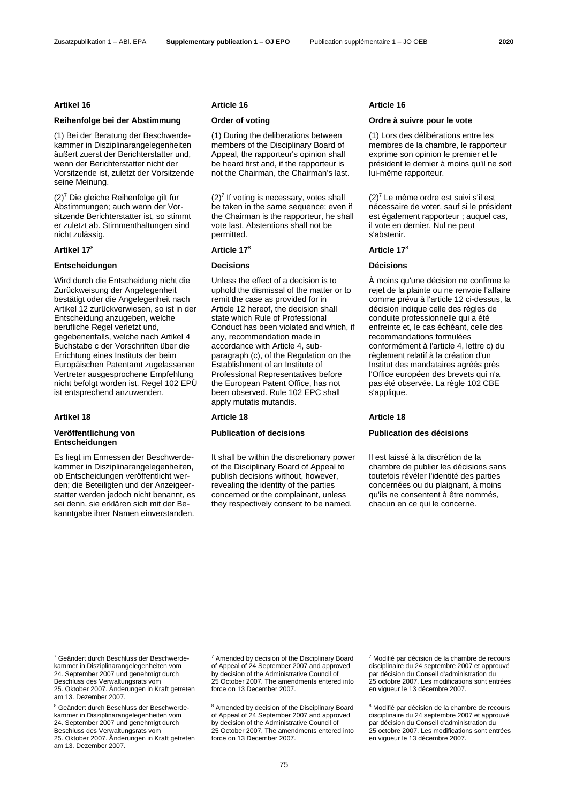### **Reihenfolge bei der Abstimmung Order of voting Ordre à suivre pour le vote**

(1) Bei der Beratung der Beschwerdekammer in Disziplinarangelegenheiten äußert zuerst der Berichterstatter und, wenn der Berichterstatter nicht der Vorsitzende ist, zuletzt der Vorsitzende seine Meinung.

<span id="page-7-0"></span>(2)<sup>7</sup> Die gleiche Reihenfolge gilt für Abstimmungen; auch wenn der Vorsitzende Berichterstatter ist, so stimmt er zuletzt ab. Stimmenthaltungen sind nicht zulässig.

### **Entscheidungen Decisions Décisions**

Wird durch die Entscheidung nicht die Zurückweisung der Angelegenheit bestätigt oder die Angelegenheit nach Artikel 12 zurückverwiesen, so ist in der Entscheidung anzugeben, welche berufliche Regel verletzt und, gegebenenfalls, welche nach Artikel 4 Buchstabe c der Vorschriften über die Errichtung eines Instituts der beim Europäischen Patentamt zugelassenen Vertreter ausgesprochene Empfehlung nicht befolgt worden ist. Regel 102 EPÜ ist entsprechend anzuwenden.

### **Veröffentlichung von Entscheidungen**

Es liegt im Ermessen der Beschwerdekammer in Disziplinarangelegenheiten, ob Entscheidungen veröffentlicht werden; die Beteiligten und der Anzeigeerstatter werden jedoch nicht benannt, es sei denn, sie erklären sich mit der Bekanntgabe ihrer Namen einverstanden.

(1) During the deliberations between members of the Disciplinary Board of Appeal, the rapporteur's opinion shall be heard first and, if the rapporteur is not the Chairman, the Chairman's last.

 $(2)<sup>7</sup>$  $(2)<sup>7</sup>$  $(2)<sup>7</sup>$  If voting is necessary, votes shall be taken in the same sequence; even if the Chairman is the rapporteur, he shall vote last. Abstentions shall not be permitted.

### <span id="page-7-1"></span>**Artikel 17**<sup>8</sup> **Article 1[7](#page-7-1)**<sup>8</sup> **Article 1[7](#page-7-1)**<sup>8</sup>

Unless the effect of a decision is to uphold the dismissal of the matter or to remit the case as provided for in Article 12 hereof, the decision shall state which Rule of Professional Conduct has been violated and which, if any, recommendation made in accordance with Article 4, subparagraph (c), of the Regulation on the Establishment of an Institute of Professional Representatives before the European Patent Office, has not been observed. Rule 102 EPC shall apply mutatis mutandis.

It shall be within the discretionary power of the Disciplinary Board of Appeal to publish decisions without, however, revealing the identity of the parties concerned or the complainant, unless they respectively consent to be named.

### **Artikel 16 Article 16 Article 16**

(1) Lors des délibérations entre les membres de la chambre, le rapporteur exprime son opinion le premier et le président le dernier à moins qu'il ne soit lui-même rapporteur.

 $(2)<sup>7</sup>$  $(2)<sup>7</sup>$  $(2)<sup>7</sup>$  Le même ordre est suivi s'il est nécessaire de voter, sauf si le président est également rapporteur ; auquel cas, il vote en dernier. Nul ne peut s'abstenir.

À moins qu'une décision ne confirme le rejet de la plainte ou ne renvoie l'affaire comme prévu à l'article 12 ci-dessus, la décision indique celle des règles de conduite professionnelle qui a été enfreinte et, le cas échéant, celle des recommandations formulées conformément à l'article 4, lettre c) du règlement relatif à la création d'un Institut des mandataires agréés près l'Office européen des brevets qui n'a pas été observée. La règle 102 CBE s'applique.

### **Artikel 18 Article 18 Article 18**

### **Publication of decisions Publication des décisions**

Il est laissé à la discrétion de la chambre de publier les décisions sans toutefois révéler l'identité des parties concernées ou du plaignant, à moins qu'ils ne consentent à être nommés, chacun en ce qui le concerne.

<sup>7</sup> Geändert durch Beschluss der Beschwerdekammer in Disziplinarangelegenheiten vom 24. September 2007 und genehmigt durch Beschluss des Verwaltungsrats vom 25. Oktober 2007. Änderungen in Kraft getreten am 13. Dezember 2007.

<sup>8</sup> Geändert durch Beschluss der Beschwerdekammer in Disziplinarangelegenheiten vom 24. September 2007 und genehmigt durch Beschluss des Verwaltungsrats vom 25. Oktober 2007. Änderungen in Kraft getreten am 13. Dezember 2007.

[7](#page-7-0) Amended by decision of the Disciplinary Board of Appeal of 24 September 2007 and approved by decision of the Administrative Council of 25 October 2007. The amendments entered into force on 13 December 2007.

[8](#page-7-1) Amended by decision of the Disciplinary Board of Appeal of 24 September 2007 and approved by decision of the Administrative Council of 25 October 2007. The amendments entered into force on 13 December 2007.

[7](#page-7-0) Modifié par décision de la chambre de recours disciplinaire du 24 septembre 2007 et approuvé par décision du Conseil d'administration du 25 octobre 2007. Les modifications sont entrées en vigueur le 13 décembre 2007.

[8](#page-7-1) Modifié par décision de la chambre de recours disciplinaire du 24 septembre 2007 et approuvé par décision du Conseil d'administration du 25 octobre 2007. Les modifications sont entrées en vigueur le 13 décembre 2007.